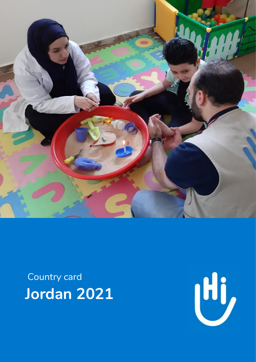

Country card **Jordan 2021**

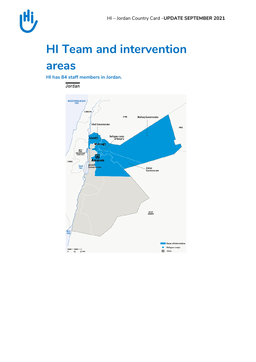

## **HI Team and intervention**

### **areasan**

**HI has 84 staff members in Jordan.** 

Jordan

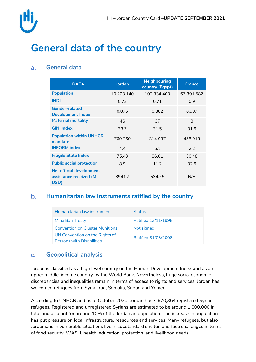

## **General data of the country**

#### **General data**  $a<sub>r</sub>$

| <b>DATA</b>                                                       | <b>Jordan</b> | <b>Neighbouring</b><br>country (Egypt) | <b>France</b> |  |
|-------------------------------------------------------------------|---------------|----------------------------------------|---------------|--|
| <b>Population</b>                                                 | 10 203 140    | 102 334 403                            | 67 391 582    |  |
| <b>IHDI</b>                                                       | 0.73          | 0.71                                   | 0.9           |  |
| <b>Gender-related</b><br><b>Development Index</b>                 | 0.875         | 0.882                                  | 0.987         |  |
| <b>Maternal mortality</b>                                         | 46            | 37                                     | 8             |  |
| <b>GINI Index</b>                                                 | 33.7          | 31.5                                   | 31.6          |  |
| <b>Population within UNHCR</b><br>mandate                         | 769 260       | 314 937                                | 458919        |  |
| <b>INFORM</b> index                                               | 4.4           | 5.1                                    | 2.2           |  |
| <b>Fragile State Index</b>                                        | 75.43         | 86.01                                  | 30.48         |  |
| <b>Public social protection</b>                                   | 8.9           | 11.2                                   | 32.6          |  |
| <b>Net official development</b><br>assistance received (M<br>USD) | 3941.7        | 5349.5                                 | N/A           |  |

#### **Humanitarian law instruments ratified by the country**  $\mathbf{b}$ .

| Humanitarian law instruments                                       | Status              |
|--------------------------------------------------------------------|---------------------|
| Mine Ban Treaty                                                    | Ratified 13/11/1998 |
| <b>Convention on Cluster Munitions</b>                             | Not signed          |
| UN Convention on the Rights of<br><b>Persons with Disabilities</b> | Ratified 31/03/2008 |

#### **Geopolitical analysis**  $\mathbf{C}$ .

Jordan is classified as a high level country on the Human Development Index and as an upper middle-income country by the World Bank. Nevertheless, huge socio-economic discrepancies and inequalities remain in terms of access to rights and services. Jordan has welcomed refugees from Syria, Iraq, Somalia, Sudan and Yemen.

According to UNHCR and as of October 2020, Jordan hosts 670,364 registered Syrian refugees. Registered and unregistered Syrians are estimated to be around 1,000,000 in total and account for around 10% of the Jordanian population. The increase in population has put pressure on local infrastructure, ressources and services. Many refugees, but also Jordanians in vulnerable situations live in substandard shelter, and face challenges in terms of food security, WASH, health, education, protection, and livelihood needs.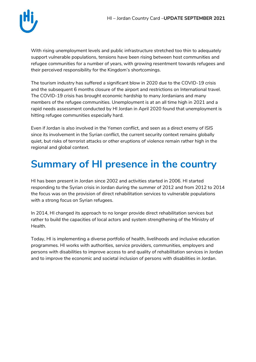

With rising unemployment levels and public infrastructure stretched too thin to adequately support vulnerable populations, tensions have been rising between host communities and refugee communities for a number of years, with growing resentment towards refugees and their perceived responsibility for the Kingdom's shortcomings.

The tourism industry has suffered a significant blow in 2020 due to the COVID-19 crisis and the subsequent 6 months closure of the airport and restrictions on International travel. The COVID-19 crisis has brought economic hardship to many Jordanians and many members of the refugee communities. Unemployment is at an all time high in 2021 and a rapid needs assessment conducted by HI Jordan in April 2020 found that unemployment is hitting refugee communities especially hard.

Even if Jordan is also involved in the Yemen conflict, and seen as a direct enemy of ISIS since its involvement in the Syrian conflict, the current security context remains globally quiet, but risks of terrorist attacks or other eruptions of violence remain rather high in the regional and global context.

### **Summary of HI presence in the country**

HI has been present in Jordan since 2002 and activities started in 2006. HI started responding to the Syrian crisis in Jordan during the summer of 2012 and from 2012 to 2014 the focus was on the provision of direct rehabilitation services to vulnerable populations with a strong focus on Syrian refugees.

In 2014, HI changed its approach to no longer provide direct rehabilitation services but rather to build the capacities of local actors and system strengthening of the Ministry of Health.

Today, HI is implementing a diverse portfolio of health, livelihoods and inclusive education programmes. HI works with authorities, service providers, communities, employers and persons with disabilities to improve access to and quality of rehabilitation services in Jordan and to improve the economic and societal inclusion of persons with disabilities in Jordan.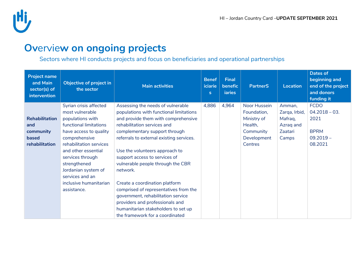

### **Ov**ervie**w on ongoing projects**

Sectors where HI conducts projects and focus on beneficiaries and operational partnerships

| Project name<br>and Main<br>sector(s) of<br>intervention             | Objective of project in<br>the sector                                                                                                                                                                                                                                                                       | <b>Main activities</b>                                                                                                                                                                                                                                                                                                                                                                                                                                                                                                                                                            | <b>Benef</b><br>iciarie<br>s. | <b>Final</b><br>benefic<br><b>iaries</b> | <b>PartnerS</b>                                                                              | <b>Location</b>                                                     | <b>Dates of</b><br>beginning and<br>end of the project<br>and donors<br>funding it |
|----------------------------------------------------------------------|-------------------------------------------------------------------------------------------------------------------------------------------------------------------------------------------------------------------------------------------------------------------------------------------------------------|-----------------------------------------------------------------------------------------------------------------------------------------------------------------------------------------------------------------------------------------------------------------------------------------------------------------------------------------------------------------------------------------------------------------------------------------------------------------------------------------------------------------------------------------------------------------------------------|-------------------------------|------------------------------------------|----------------------------------------------------------------------------------------------|---------------------------------------------------------------------|------------------------------------------------------------------------------------|
| <b>Rehabilitation</b><br>and<br>community<br>based<br>rehabilitation | Syrian crisis affected<br>most vulnerable<br>populations with<br>functional limitations<br>have access to quality<br>comprehensive<br>rehabilitation services<br>and other essential<br>services through<br>strengthened<br>Jordanian system of<br>services and an<br>inclusive humanitarian<br>assistance. | Assessing the needs of vulnerable<br>populations with functional limitations<br>and provide them with comprehensive<br>rehabilitation services and<br>complementary support through<br>referrals to external existing services.<br>Use the volunteers approach to<br>support access to services of<br>vulnerable people through the CBR<br>network.<br>Create a coordination platform<br>comprised of representatives from the<br>government, rehabilitation service<br>providers and professionals and<br>humanitarian stakeholders to set up<br>the framework for a coordinated | 4,886                         | 4,964                                    | Noor Hussein<br>Foundation,<br>Ministry of<br>Health,<br>Community<br>Development<br>Centres | Amman,<br>Zarqa, Irbid,<br>Mafraq,<br>Azraq and<br>Zaatari<br>Camps | <b>FCDO</b><br>$04.2018 - 03.$<br>2021<br><b>BPRM</b><br>$09.2019 -$<br>08.2021    |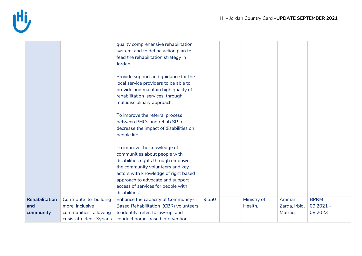

|                       |                         | quality comprehensive rehabilitation         |       |             |               |             |
|-----------------------|-------------------------|----------------------------------------------|-------|-------------|---------------|-------------|
|                       |                         |                                              |       |             |               |             |
|                       |                         | system, and to define action plan to         |       |             |               |             |
|                       |                         | feed the rehabilitation strategy in          |       |             |               |             |
|                       |                         | Jordan                                       |       |             |               |             |
|                       |                         |                                              |       |             |               |             |
|                       |                         | Provide support and guidance for the         |       |             |               |             |
|                       |                         | local service providers to be able to        |       |             |               |             |
|                       |                         | provide and maintain high quality of         |       |             |               |             |
|                       |                         | rehabilitation services, through             |       |             |               |             |
|                       |                         | multidisciplinary approach.                  |       |             |               |             |
|                       |                         |                                              |       |             |               |             |
|                       |                         | To improve the referral process              |       |             |               |             |
|                       |                         | between PHCs and rehab SP to                 |       |             |               |             |
|                       |                         | decrease the impact of disabilities on       |       |             |               |             |
|                       |                         | people life.                                 |       |             |               |             |
|                       |                         |                                              |       |             |               |             |
|                       |                         | To improve the knowledge of                  |       |             |               |             |
|                       |                         | communities about people with                |       |             |               |             |
|                       |                         | disabilities rights through empower          |       |             |               |             |
|                       |                         | the community volunteers and key             |       |             |               |             |
|                       |                         | actors with knowledge of right based         |       |             |               |             |
|                       |                         | approach to advocate and support             |       |             |               |             |
|                       |                         | access of services for people with           |       |             |               |             |
|                       |                         | disabilities.                                |       |             |               |             |
| <b>Rehabilitation</b> | Contribute to building  | Enhance the capacity of Community-           | 9,550 | Ministry of | Amman,        | <b>BPRM</b> |
| and                   | more inclusive          | <b>Based Rehabilitation (CBR) volunteers</b> |       | Health,     | Zarqa, Irbid, | $09.2021 -$ |
| community             | communities, allowing   | to identify, refer, follow-up, and           |       |             | Mafraq,       | 08.2023     |
|                       |                         | conduct home-based intervention              |       |             |               |             |
|                       | crisis-affected Syrians |                                              |       |             |               |             |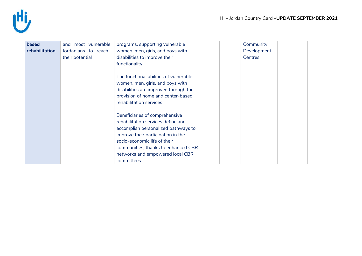

| based          | and most vulnerable | programs, supporting vulnerable        |  | Community   |  |
|----------------|---------------------|----------------------------------------|--|-------------|--|
| rehabilitation | Jordanians to reach | women, men, girls, and boys with       |  | Development |  |
|                | their potential     | disabilities to improve their          |  | Centres     |  |
|                |                     | functionality                          |  |             |  |
|                |                     |                                        |  |             |  |
|                |                     | The functional abilities of vulnerable |  |             |  |
|                |                     | women, men, girls, and boys with       |  |             |  |
|                |                     | disabilities are improved through the  |  |             |  |
|                |                     | provision of home and center-based     |  |             |  |
|                |                     | rehabilitation services                |  |             |  |
|                |                     |                                        |  |             |  |
|                |                     | Beneficiaries of comprehensive         |  |             |  |
|                |                     | rehabilitation services define and     |  |             |  |
|                |                     | accomplish personalized pathways to    |  |             |  |
|                |                     | improve their participation in the     |  |             |  |
|                |                     | socio-economic life of their           |  |             |  |
|                |                     | communities, thanks to enhanced CBR    |  |             |  |
|                |                     | networks and empowered local CBR       |  |             |  |
|                |                     | committees.                            |  |             |  |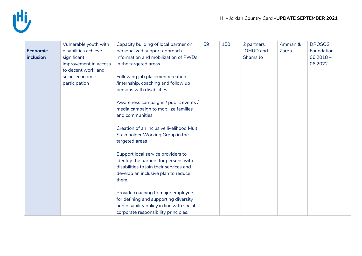

|                 | Vulnerable youth with | Capacity building of local partner on     | 59 | 150 | 2 partners | Amman & | <b>DROSOS</b> |
|-----------------|-----------------------|-------------------------------------------|----|-----|------------|---------|---------------|
| <b>Economic</b> | disabilities achieve  | personalized support approach.            |    |     | JOHUD and  | Zarqa   | Foundation    |
| inclusion       | significant           | Information and mobilization of PWDs      |    |     | Shams Jo   |         | $06.2018 -$   |
|                 | improvement in access | in the targeted areas.                    |    |     |            |         | 06.2022       |
|                 |                       |                                           |    |     |            |         |               |
|                 | to decent work, and   |                                           |    |     |            |         |               |
|                 | socio-economic        | Following job placement/creation          |    |     |            |         |               |
|                 | participation         | /internship, coaching and follow up       |    |     |            |         |               |
|                 |                       | persons with disabilities.                |    |     |            |         |               |
|                 |                       |                                           |    |     |            |         |               |
|                 |                       | Awareness campaigns / public events /     |    |     |            |         |               |
|                 |                       | media campaign to mobilize families       |    |     |            |         |               |
|                 |                       | and communities.                          |    |     |            |         |               |
|                 |                       |                                           |    |     |            |         |               |
|                 |                       | Creation of an inclusive livelihood Multi |    |     |            |         |               |
|                 |                       | Stakeholder Working Group in the          |    |     |            |         |               |
|                 |                       | targeted areas                            |    |     |            |         |               |
|                 |                       |                                           |    |     |            |         |               |
|                 |                       | Support local service providers to        |    |     |            |         |               |
|                 |                       | identify the barriers for persons with    |    |     |            |         |               |
|                 |                       | disabilities to join their services and   |    |     |            |         |               |
|                 |                       | develop an inclusive plan to reduce       |    |     |            |         |               |
|                 |                       | them.                                     |    |     |            |         |               |
|                 |                       |                                           |    |     |            |         |               |
|                 |                       | Provide coaching to major employers       |    |     |            |         |               |
|                 |                       | for defining and supporting diversity     |    |     |            |         |               |
|                 |                       | and disability policy in line with social |    |     |            |         |               |
|                 |                       | corporate responsibility principles.      |    |     |            |         |               |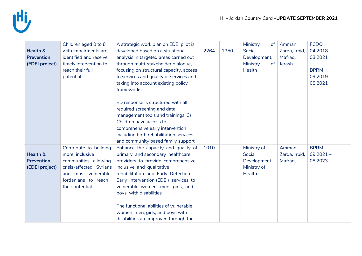

| Health &<br><b>Prevention</b><br>(EDEI project)            | Children aged 0 to 8<br>with impairments are<br>identified and receive<br>timely intervention to<br>reach their full<br>potential.                            | A strategic work plan on EDEI pilot is<br>developed based on a situational<br>analysis in targeted areas carried out<br>through multi-stakeholder dialogue,<br>focusing on structural capacity, access<br>to services and quality of services and<br>taking into account existing policy                                             | 2264 | 1950 | Ministry<br>of<br>Social<br>Development,<br>Ministry<br>of<br><b>Health</b> | Amman,<br>Zarqa, Irbid,<br>Mafrag,<br>Jerash | <b>FCDO</b><br>$04.2018 -$<br>03.2021<br><b>BPRM</b><br>$09.2019 -$<br>08.2021 |
|------------------------------------------------------------|---------------------------------------------------------------------------------------------------------------------------------------------------------------|--------------------------------------------------------------------------------------------------------------------------------------------------------------------------------------------------------------------------------------------------------------------------------------------------------------------------------------|------|------|-----------------------------------------------------------------------------|----------------------------------------------|--------------------------------------------------------------------------------|
|                                                            |                                                                                                                                                               | frameworks.<br>ED response is structured with all<br>required screening and data<br>management tools and trainings. 3)<br>Children have access to<br>comprehensive early intervention<br>including both rehabilitation services<br>and community based family support.                                                               |      |      |                                                                             |                                              |                                                                                |
| <b>Health &amp;</b><br><b>Prevention</b><br>(EDEI project) | Contribute to building<br>more inclusive<br>communities, allowing<br>crisis-affected Syrians<br>and most vulnerable<br>Jordanians to reach<br>their potential | Enhance the capacity and quality of<br>primary and secondary healthcare<br>providers to provide comprehensive,<br>inclusive, and qualitative<br>rehabilitation and Early Detection<br>Early Intervention (EDEI) services to<br>vulnerable women, men, girls, and<br>boys with disabilities<br>The functional abilities of vulnerable | 1010 |      | Ministry of<br>Social<br>Development,<br>Ministry of<br>Health              | Amman,<br>Zarqa, Irbid,<br>Mafrag,           | <b>BPRM</b><br>$09.2021 -$<br>08.2023                                          |
|                                                            |                                                                                                                                                               | women, men, girls, and boys with<br>disabilities are improved through the                                                                                                                                                                                                                                                            |      |      |                                                                             |                                              |                                                                                |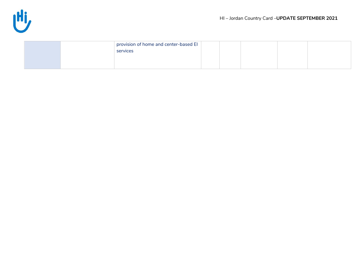

|  | provision of home and center-based El<br>services |  |  |  |
|--|---------------------------------------------------|--|--|--|
|  |                                                   |  |  |  |